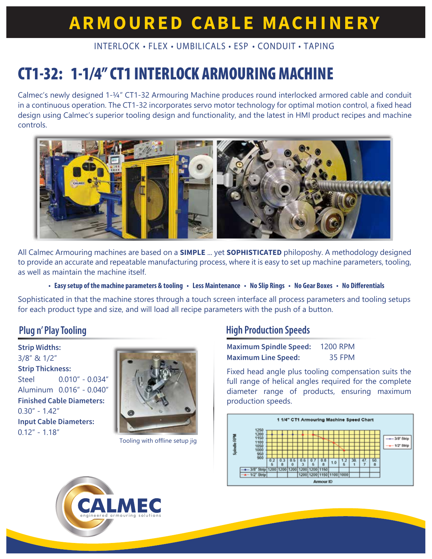# **ARMOURED CABLE MACHINERY**

#### INTERLOCK • FLEX • UMBILICALS • ESP • CONDUIT • TAPING

# **CT1-32: 1-1/4" CT1 INTERLOCK ARMOURING MACHINE**

Calmec's newly designed 1-¼" CT1-32 Armouring Machine produces round interlocked armored cable and conduit in a continuous operation. The CT1-32 incorporates servo motor technology for optimal motion control, a fixed head design using Calmec's superior tooling design and functionality, and the latest in HMI product recipes and machine controls.



All Calmec Armouring machines are based on a **SIMPLE** ... yet **SOPHISTICATED** philoposhy. A methodology designed to provide an accurate and repeatable manufacturing process, where it is easy to set up machine parameters, tooling, as well as maintain the machine itself.

• Easy setup of the machine parameters & tooling • Less Maintenance • No Slip Rings • No Gear Boxes • No Differentials

Sophisticated in that the machine stores through a touch screen interface all process parameters and tooling setups for each product type and size, and will load all recipe parameters with the push of a button.

#### **Plug n' Play Tooling**

**Strip Widths:** 3/8" & 1/2" **Strip Thickness:** Steel 0.010" - 0.034" Aluminum 0.016" - 0.040" **Finished Cable Diameters:** 0.30" - 1.42" **Input Cable Diameters:**  $0.12" - 1.18"$ 



Tooling with offline setup jig

#### **High Production Speeds**

| <b>Maximum Spindle Speed:</b> | <b>1200 RPM</b> |
|-------------------------------|-----------------|
| <b>Maximum Line Speed:</b>    | 35 FPM          |

Fixed head angle plus tooling compensation suits the full range of helical angles required for the complete diameter range of products, ensuring maximum production speeds.